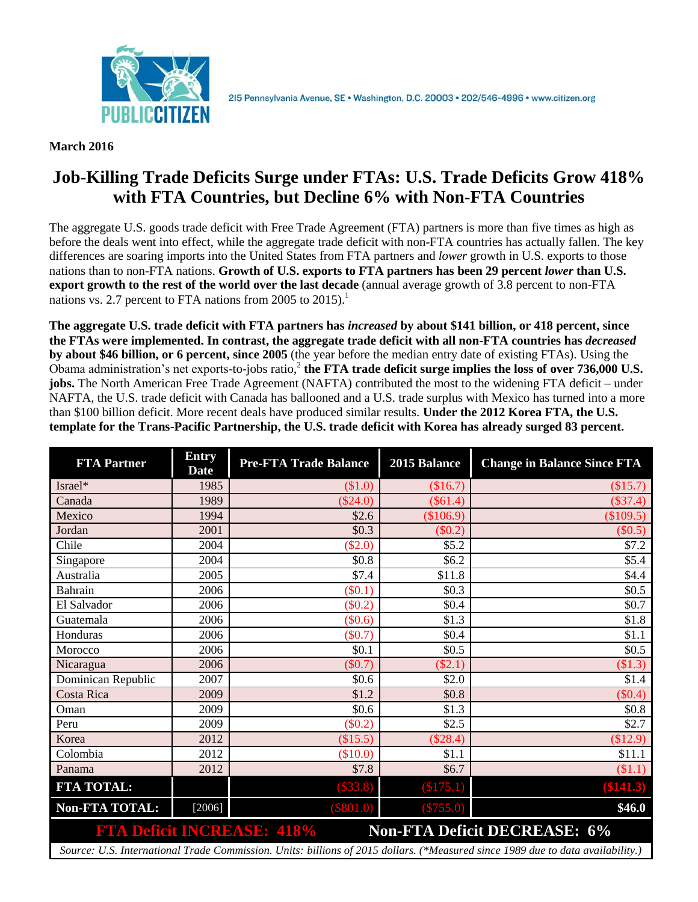

**March 2016**

## **Job-Killing Trade Deficits Surge under FTAs: U.S. Trade Deficits Grow 418% with FTA Countries, but Decline 6% with Non-FTA Countries**

The aggregate U.S. goods trade deficit with Free Trade Agreement (FTA) partners is more than five times as high as before the deals went into effect, while the aggregate trade deficit with non-FTA countries has actually fallen. The key differences are soaring imports into the United States from FTA partners and *lower* growth in U.S. exports to those nations than to non-FTA nations. **Growth of U.S. exports to FTA partners has been 29 percent** *lower* **than U.S. export growth to the rest of the world over the last decade** (annual average growth of 3.8 percent to non-FTA nations vs. 2.7 percent to FTA nations from 2005 to  $2015$ .<sup>1</sup>

**The aggregate U.S. trade deficit with FTA partners has** *increased* **by about \$141 billion, or 418 percent, since the FTAs were implemented. In contrast, the aggregate trade deficit with all non-FTA countries has** *decreased* **by about \$46 billion, or 6 percent, since 2005** (the year before the median entry date of existing FTAs). Using the Obama administration's net exports-to-jobs ratio,<sup>2</sup> the FTA trade deficit surge implies the loss of over 736,000 U.S. **jobs.** The North American Free Trade Agreement (NAFTA) contributed the most to the widening FTA deficit – under NAFTA, the U.S. trade deficit with Canada has ballooned and a U.S. trade surplus with Mexico has turned into a more than \$100 billion deficit. More recent deals have produced similar results. **Under the 2012 Korea FTA, the U.S. template for the Trans-Pacific Partnership, the U.S. trade deficit with Korea has already surged 83 percent.**

| <b>FTA Partner</b>                                                                                                             | <b>Entry</b><br><b>Date</b> | <b>Pre-FTA Trade Balance</b> | 2015 Balance | <b>Change in Balance Since FTA</b> |
|--------------------------------------------------------------------------------------------------------------------------------|-----------------------------|------------------------------|--------------|------------------------------------|
| Israel*                                                                                                                        | 1985                        | (\$1.0)                      | (\$16.7)     | (\$15.7)                           |
| Canada                                                                                                                         | 1989                        | $(\$24.0)$                   | $(\$61.4)$   | $(\$37.4)$                         |
| Mexico                                                                                                                         | 1994                        | \$2.6                        | (\$106.9)    | \$109.5)                           |
| Jordan                                                                                                                         | 2001                        | \$0.3\$                      | $(\$0.2)$    | $(\$0.5)$                          |
| Chile                                                                                                                          | 2004                        | $(\$2.0)$                    | \$5.2        | \$7.2                              |
| Singapore                                                                                                                      | 2004                        | \$0.8                        | \$6.2        | \$5.4                              |
| Australia                                                                                                                      | 2005                        | \$7.4                        | \$11.8       | \$4.4                              |
| <b>Bahrain</b>                                                                                                                 | 2006                        | $(\$0.1)$                    | \$0.3\$      | \$0.5                              |
| El Salvador                                                                                                                    | 2006                        | $(\$0.2)$                    | \$0.4        | \$0.7                              |
| Guatemala                                                                                                                      | 2006                        | (\$0.6)                      | \$1.3        | \$1.8                              |
| Honduras                                                                                                                       | 2006                        | $(\$0.7)$                    | \$0.4        | \$1.1                              |
| Morocco                                                                                                                        | 2006                        | \$0.1                        | \$0.5        | \$0.5                              |
| Nicaragua                                                                                                                      | 2006                        | $(\$0.7)$                    | $(\$2.1)$    | $\$1.3)$                           |
| Dominican Republic                                                                                                             | 2007                        | \$0.6                        | \$2.0        | \$1.4                              |
| Costa Rica                                                                                                                     | 2009                        | \$1.2                        | \$0.8        | $(\$0.4)$                          |
| Oman                                                                                                                           | 2009                        | \$0.6                        | \$1.3        | \$0.8                              |
| Peru                                                                                                                           | 2009                        | $(\$0.2)$                    | \$2.5        | \$2.7                              |
| Korea                                                                                                                          | 2012                        | (\$15.5)                     | (\$28.4)     | \$12.9                             |
| Colombia                                                                                                                       | 2012                        | (\$10.0)                     | \$1.1        | \$11.1                             |
| Panama                                                                                                                         | 2012                        | \$7.8                        | \$6.7        | \$1.1)                             |
| FTA TOTAL:                                                                                                                     |                             | (\$33.8)                     | (\$175.1)    | (\$141.3)                          |
| <b>Non-FTA TOTAL:</b>                                                                                                          | $[2006]$                    | $(\$801.0)$                  | (\$755.0)    | \$46.0                             |
| <b>FTA Deficit INCREASE: 418%</b><br><b>Non-FTA Deficit DECREASE: 6%</b>                                                       |                             |                              |              |                                    |
| Source: U.S. International Trade Commission. Units: billions of 2015 dollars. (*Measured since 1989 due to data availability.) |                             |                              |              |                                    |